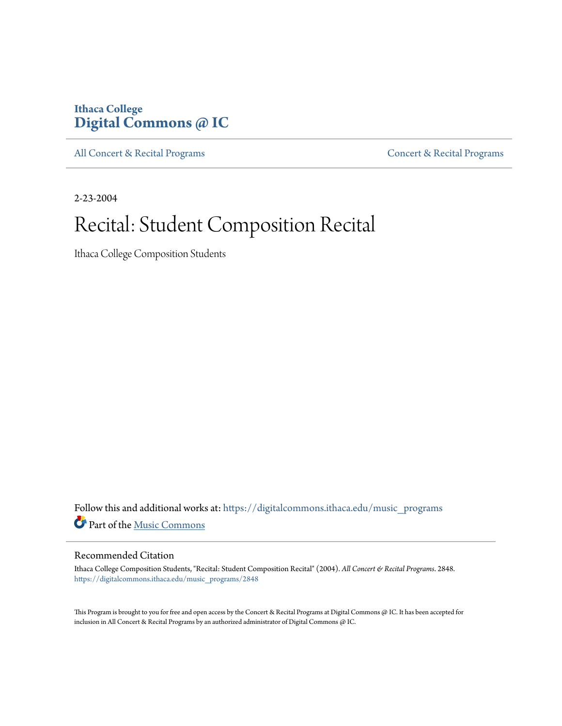### **Ithaca College [Digital Commons @ IC](https://digitalcommons.ithaca.edu?utm_source=digitalcommons.ithaca.edu%2Fmusic_programs%2F2848&utm_medium=PDF&utm_campaign=PDFCoverPages)**

[All Concert & Recital Programs](https://digitalcommons.ithaca.edu/music_programs?utm_source=digitalcommons.ithaca.edu%2Fmusic_programs%2F2848&utm_medium=PDF&utm_campaign=PDFCoverPages) **[Concert & Recital Programs](https://digitalcommons.ithaca.edu/som_programs?utm_source=digitalcommons.ithaca.edu%2Fmusic_programs%2F2848&utm_medium=PDF&utm_campaign=PDFCoverPages)** 

2-23-2004

## Recital: Student Composition Recital

Ithaca College Composition Students

Follow this and additional works at: [https://digitalcommons.ithaca.edu/music\\_programs](https://digitalcommons.ithaca.edu/music_programs?utm_source=digitalcommons.ithaca.edu%2Fmusic_programs%2F2848&utm_medium=PDF&utm_campaign=PDFCoverPages) Part of the [Music Commons](http://network.bepress.com/hgg/discipline/518?utm_source=digitalcommons.ithaca.edu%2Fmusic_programs%2F2848&utm_medium=PDF&utm_campaign=PDFCoverPages)

#### Recommended Citation

Ithaca College Composition Students, "Recital: Student Composition Recital" (2004). *All Concert & Recital Programs*. 2848. [https://digitalcommons.ithaca.edu/music\\_programs/2848](https://digitalcommons.ithaca.edu/music_programs/2848?utm_source=digitalcommons.ithaca.edu%2Fmusic_programs%2F2848&utm_medium=PDF&utm_campaign=PDFCoverPages)

This Program is brought to you for free and open access by the Concert & Recital Programs at Digital Commons @ IC. It has been accepted for inclusion in All Concert & Recital Programs by an authorized administrator of Digital Commons @ IC.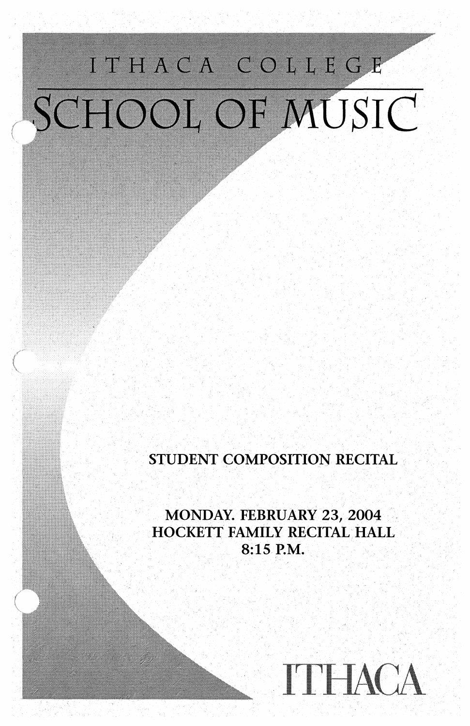# ITHACA COLLEGE SCHOOL OF MUSIC

### STUDENT COMPOSITION RECITAL

MONDAY. FEBRUARY 23, 2004 HOCKETT FAMILY RECITAL HALL 8:15 P.M.